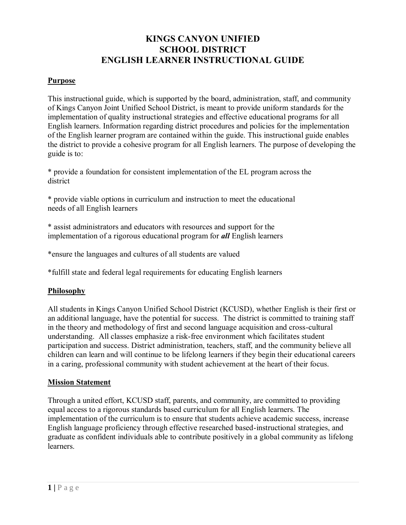# **KINGS CANYON UNIFIED SCHOOL DISTRICT ENGLISH LEARNER INSTRUCTIONAL GUIDE**

### **Purpose**

This instructional guide, which is supported by the board, administration, staff, and community of Kings Canyon Joint Unified School District, is meant to provide uniform standards for the implementation of quality instructional strategies and effective educational programs for all English learners. Information regarding district procedures and policies for the implementation of the English learner program are contained within the guide. This instructional guide enables the district to provide a cohesive program for all English learners. The purpose of developing the guide is to:

\* provide a foundation for consistent implementation of the EL program across the district

\* provide viable options in curriculum and instruction to meet the educational needs of all English learners

\* assist administrators and educators with resources and support for the implementation of a rigorous educational program for *all* English learners

\*ensure the languages and cultures of all students are valued

\*fulfill state and federal legal requirements for educating English learners

## **Philosophy**

All students in Kings Canyon Unified School District (KCUSD), whether English is their first or an additional language, have the potential for success. The district is committed to training staff in the theory and methodology of first and second language acquisition and cross-cultural understanding. All classes emphasize a risk-free environment which facilitates student participation and success. District administration, teachers, staff, and the community believe all children can learn and will continue to be lifelong learners if they begin their educational careers in a caring, professional community with student achievement at the heart of their focus.

### **Mission Statement**

Through a united effort, KCUSD staff, parents, and community, are committed to providing equal access to a rigorous standards based curriculum for all English learners. The implementation of the curriculum is to ensure that students achieve academic success, increase English language proficiency through effective researched based-instructional strategies, and graduate as confident individuals able to contribute positively in a global community as lifelong learners.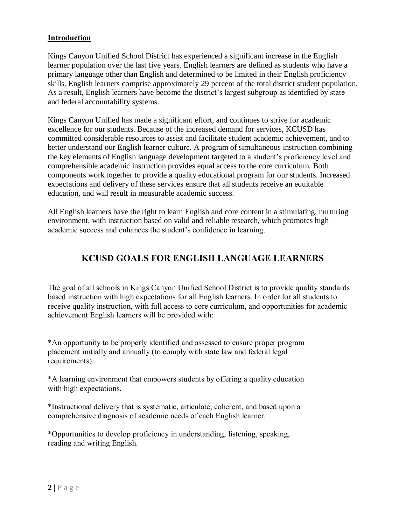#### **Introduction**

Kings Canyon Unified School District has experienced a significant increase in the English learner population over the last five years. English learners are defined as students who have a primary language other than English and determined to be limited in their English proficiency skills. English learners comprise approximately 29 percent of the total district student population. As a result, English learners have become the district's largest subgroup as identified by state and federal accountability systems.

Kings Canyon Unified has made a significant effort, and continues to strive for academic excellence for our students. Because of the increased demand for services, KCUSD has committed considerable resources to assist and facilitate student academic achievement, and to better understand our English learner culture. A program of simultaneous instruction combining the key elements of English language development targeted to a student's proficiency level and comprehensible academic instruction provides equal access to the core curriculum. Both components work together to provide a quality educational program for our students. Increased expectations and delivery of these services ensure that all students receive an equitable education, and will result in measurable academic success.

All English learners have the right to learn English and core content in a stimulating, nurturing environment, with instruction based on valid and reliable research, which promotes high academic success and enhances the student's confidence in learning.

# **KCUSD GOALS FOR ENGLISH LANGUAGE LEARNERS**

The goal of all schools in Kings Canyon Unified School District is to provide quality standards based instruction with high expectations for all English learners. In order for all students to receive quality instruction, with full access to core curriculum, and opportunities for academic achievement English learners will be provided with:

\*An opportunity to be properly identified and assessed to ensure proper program placement initially and annually (to comply with state law and federal legal requirements).

\*A learning environment that empowers students by offering a quality education with high expectations.

\*Instructional delivery that is systematic, articulate, coherent, and based upon a comprehensive diagnosis of academic needs of each English learner.

\*Opportunities to develop proficiency in understanding, listening, speaking, reading and writing English.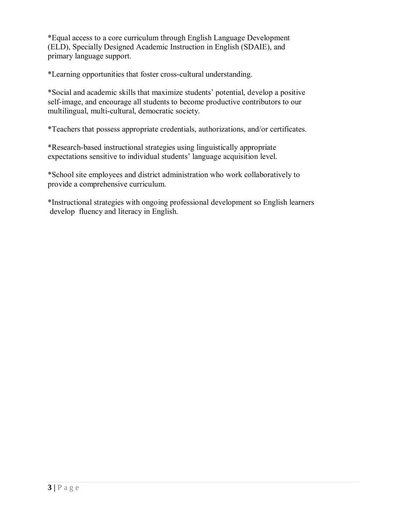\*Equal access to a core curriculum through English Language Development (ELD), Specially Designed Academic Instruction in English (SDAIE), and primary language support.

\*Learning opportunities that foster cross-cultural understanding.

\*Social and academic skills that maximize students' potential, develop a positive self-image, and encourage all students to become productive contributors to our multilingual, multi-cultural, democratic society.

\*Teachers that possess appropriate credentials, authorizations, and/or certificates.

\*Research-based instructional strategies using linguistically appropriate expectations sensitive to individual students' language acquisition level.

\*School site employees and district administration who work collaboratively to provide a comprehensive curriculum.

\*Instructional strategies with ongoing professional development so English learners develop fluency and literacy in English.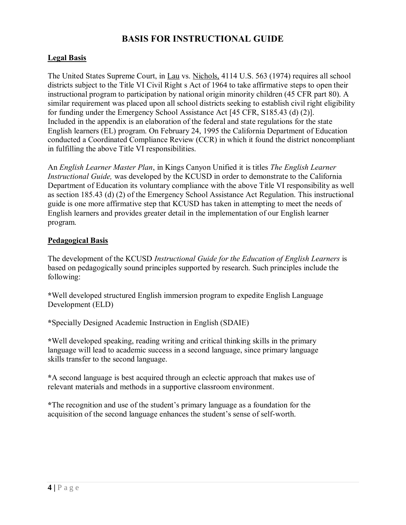## **BASIS FOR INSTRUCTIONAL GUIDE**

## **Legal Basis**

The United States Supreme Court, in Lau vs. Nichols, 4114 U.S. 563 (1974) requires all school districts subject to the Title VI Civil Right s Act of 1964 to take affirmative steps to open their instructional program to participation by national origin minority children (45 CFR part 80). A similar requirement was placed upon all school districts seeking to establish civil right eligibility for funding under the Emergency School Assistance Act [45 CFR, S185.43 (d) (2)]. Included in the appendix is an elaboration of the federal and state regulations for the state English learners (EL) program. On February 24, 1995 the California Department of Education conducted a Coordinated Compliance Review (CCR) in which it found the district noncompliant in fulfilling the above Title VI responsibilities.

An *English Learner Master Plan*, in Kings Canyon Unified it is titles *The English Learner Instructional Guide,* was developed by the KCUSD in order to demonstrate to the California Department of Education its voluntary compliance with the above Title VI responsibility as well as section 185.43 (d) (2) of the Emergency School Assistance Act Regulation. This instructional guide is one more affirmative step that KCUSD has taken in attempting to meet the needs of English learners and provides greater detail in the implementation of our English learner program.

### **Pedagogical Basis**

The development of the KCUSD *Instructional Guide for the Education of English Learners* is based on pedagogically sound principles supported by research. Such principles include the following:

**\***Well developed structured English immersion program to expedite English Language Development (ELD)

**\***Specially Designed Academic Instruction in English (SDAIE)

**\***Well developed speaking, reading writing and critical thinking skills in the primary language will lead to academic success in a second language, since primary language skills transfer to the second language.

**\***A second language is best acquired through an eclectic approach that makes use of relevant materials and methods in a supportive classroom environment.

**\***The recognition and use of the student's primary language as a foundation for the acquisition of the second language enhances the student's sense of self-worth.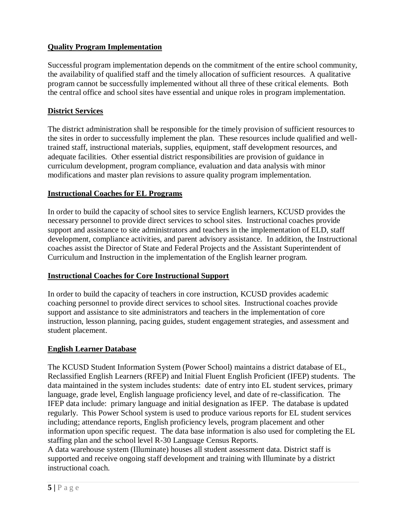## **Quality Program Implementation**

Successful program implementation depends on the commitment of the entire school community, the availability of qualified staff and the timely allocation of sufficient resources. A qualitative program cannot be successfully implemented without all three of these critical elements. Both the central office and school sites have essential and unique roles in program implementation.

#### **District Services**

The district administration shall be responsible for the timely provision of sufficient resources to the sites in order to successfully implement the plan. These resources include qualified and welltrained staff, instructional materials, supplies, equipment, staff development resources, and adequate facilities. Other essential district responsibilities are provision of guidance in curriculum development, program compliance, evaluation and data analysis with minor modifications and master plan revisions to assure quality program implementation.

#### **Instructional Coaches for EL Programs**

In order to build the capacity of school sites to service English learners, KCUSD provides the necessary personnel to provide direct services to school sites. Instructional coaches provide support and assistance to site administrators and teachers in the implementation of ELD, staff development, compliance activities, and parent advisory assistance.In addition, the Instructional coaches assist the Director of State and Federal Projects and the Assistant Superintendent of Curriculum and Instruction in the implementation of the English learner program.

#### **Instructional Coaches for Core Instructional Support**

In order to build the capacity of teachers in core instruction, KCUSD provides academic coaching personnel to provide direct services to school sites. Instructional coaches provide support and assistance to site administrators and teachers in the implementation of core instruction, lesson planning, pacing guides, student engagement strategies, and assessment and student placement.

#### **English Learner Database**

The KCUSD Student Information System (Power School) maintains a district database of EL, Reclassified English Learners (RFEP) and Initial Fluent English Proficient (IFEP) students. The data maintained in the system includes students: date of entry into EL student services, primary language, grade level, English language proficiency level, and date of re-classification. The IFEP data include: primary language and initial designation as IFEP. The database is updated regularly. This Power School system is used to produce various reports for EL student services including; attendance reports, English proficiency levels, program placement and other information upon specific request. The data base information is also used for completing the EL staffing plan and the school level R-30 Language Census Reports.

A data warehouse system (Illuminate) houses all student assessment data. District staff is supported and receive ongoing staff development and training with Illuminate by a district instructional coach.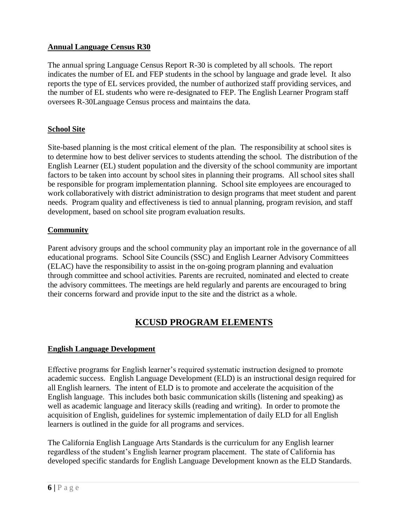## **Annual Language Census R30**

The annual spring Language Census Report R-30 is completed by all schools. The report indicates the number of EL and FEP students in the school by language and grade level. It also reports the type of EL services provided, the number of authorized staff providing services, and the number of EL students who were re-designated to FEP. The English Learner Program staff oversees R-30Language Census process and maintains the data.

## **School Site**

Site-based planning is the most critical element of the plan. The responsibility at school sites is to determine how to best deliver services to students attending the school. The distribution of the English Learner (EL) student population and the diversity of the school community are important factors to be taken into account by school sites in planning their programs. All school sites shall be responsible for program implementation planning. School site employees are encouraged to work collaboratively with district administration to design programs that meet student and parent needs. Program quality and effectiveness is tied to annual planning, program revision, and staff development, based on school site program evaluation results.

### **Community**

Parent advisory groups and the school community play an important role in the governance of all educational programs. School Site Councils (SSC) and English Learner Advisory Committees (ELAC) have the responsibility to assist in the on-going program planning and evaluation through committee and school activities. Parents are recruited, nominated and elected to create the advisory committees. The meetings are held regularly and parents are encouraged to bring their concerns forward and provide input to the site and the district as a whole.

# **KCUSD PROGRAM ELEMENTS**

### **English Language Development**

Effective programs for English learner's required systematic instruction designed to promote academic success. English Language Development (ELD) is an instructional design required for all English learners. The intent of ELD is to promote and accelerate the acquisition of the English language. This includes both basic communication skills (listening and speaking) as well as academic language and literacy skills (reading and writing). In order to promote the acquisition of English, guidelines for systemic implementation of daily ELD for all English learners is outlined in the guide for all programs and services.

The California English Language Arts Standards is the curriculum for any English learner regardless of the student's English learner program placement. The state of California has developed specific standards for English Language Development known as the ELD Standards.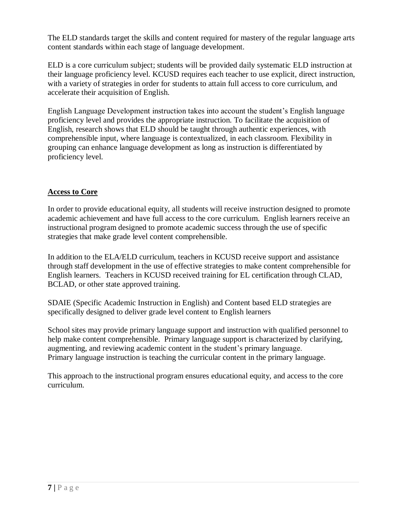The ELD standards target the skills and content required for mastery of the regular language arts content standards within each stage of language development.

ELD is a core curriculum subject; students will be provided daily systematic ELD instruction at their language proficiency level. KCUSD requires each teacher to use explicit, direct instruction, with a variety of strategies in order for students to attain full access to core curriculum, and accelerate their acquisition of English.

English Language Development instruction takes into account the student's English language proficiency level and provides the appropriate instruction. To facilitate the acquisition of English, research shows that ELD should be taught through authentic experiences, with comprehensible input, where language is contextualized, in each classroom. Flexibility in grouping can enhance language development as long as instruction is differentiated by proficiency level.

## **Access to Core**

In order to provide educational equity, all students will receive instruction designed to promote academic achievement and have full access to the core curriculum. English learners receive an instructional program designed to promote academic success through the use of specific strategies that make grade level content comprehensible.

In addition to the ELA/ELD curriculum, teachers in KCUSD receive support and assistance through staff development in the use of effective strategies to make content comprehensible for English learners. Teachers in KCUSD received training for EL certification through CLAD, BCLAD, or other state approved training.

SDAIE (Specific Academic Instruction in English) and Content based ELD strategies are specifically designed to deliver grade level content to English learners

School sites may provide primary language support and instruction with qualified personnel to help make content comprehensible. Primary language support is characterized by clarifying, augmenting, and reviewing academic content in the student's primary language. Primary language instruction is teaching the curricular content in the primary language.

This approach to the instructional program ensures educational equity, and access to the core curriculum.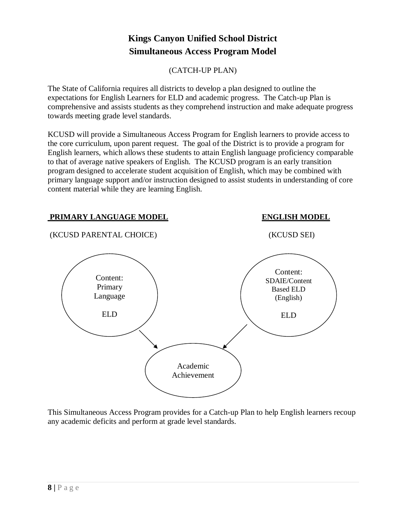# **Kings Canyon Unified School District Simultaneous Access Program Model**

(CATCH-UP PLAN)

The State of California requires all districts to develop a plan designed to outline the expectations for English Learners for ELD and academic progress. The Catch-up Plan is comprehensive and assists students as they comprehend instruction and make adequate progress towards meeting grade level standards.

KCUSD will provide a Simultaneous Access Program for English learners to provide access to the core curriculum, upon parent request. The goal of the District is to provide a program for English learners, which allows these students to attain English language proficiency comparable to that of average native speakers of English. The KCUSD program is an early transition program designed to accelerate student acquisition of English, which may be combined with primary language support and/or instruction designed to assist students in understanding of core content material while they are learning English.

### **PRIMARY LANGUAGE MODEL ENGLISH MODEL**



This Simultaneous Access Program provides for a Catch-up Plan to help English learners recoup any academic deficits and perform at grade level standards.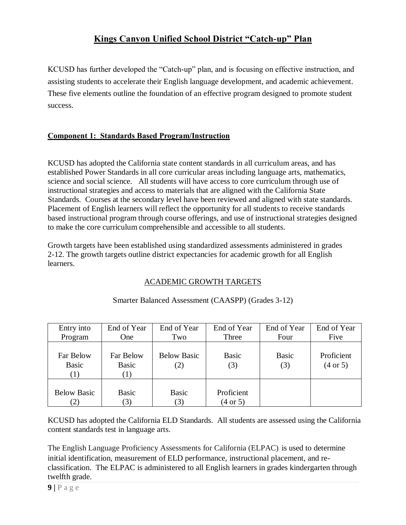# **Kings Canyon Unified School District "Catch-up" Plan**

KCUSD has further developed the "Catch-up" plan, and is focusing on effective instruction, and assisting students to accelerate their English language development, and academic achievement. These five elements outline the foundation of an effective program designed to promote student success.

## **Component 1: Standards Based Program/Instruction**

KCUSD has adopted the California state content standards in all curriculum areas, and has established Power Standards in all core curricular areas including language arts, mathematics, science and social science. All students will have access to core curriculum through use of instructional strategies and access to materials that are aligned with the California State Standards. Courses at the secondary level have been reviewed and aligned with state standards. Placement of English learners will reflect the opportunity for all students to receive standards based instructional program through course offerings, and use of instructional strategies designed to make the core curriculum comprehensible and accessible to all students.

Growth targets have been established using standardized assessments administered in grades 2-12. The growth targets outline district expectancies for academic growth for all English learners.

### ACADEMIC GROWTH TARGETS

| Entry into                | End of Year               | End of Year               | End of Year                       | End of Year         | End of Year                       |
|---------------------------|---------------------------|---------------------------|-----------------------------------|---------------------|-----------------------------------|
| Program                   | One                       | Two                       | Three                             | Four                | Five                              |
| Far Below<br>Basic<br>(1) | Far Below<br>Basic<br>(1) | <b>Below Basic</b><br>(2) | <b>Basic</b><br>(3)               | <b>Basic</b><br>(3) | Proficient<br>$(4 \text{ or } 5)$ |
| <b>Below Basic</b><br>(2) | <b>Basic</b><br>(3)       | <b>Basic</b><br>3)        | Proficient<br>$(4 \text{ or } 5)$ |                     |                                   |

#### Smarter Balanced Assessment (CAASPP) (Grades 3-12)

KCUSD has adopted the California ELD Standards. All students are assessed using the California content standards test in language arts.

The English Language Proficiency Assessments for California (ELPAC) is used to determine initial identification, measurement of ELD performance, instructional placement, and reclassification. The ELPAC is administered to all English learners in grades kindergarten through twelfth grade.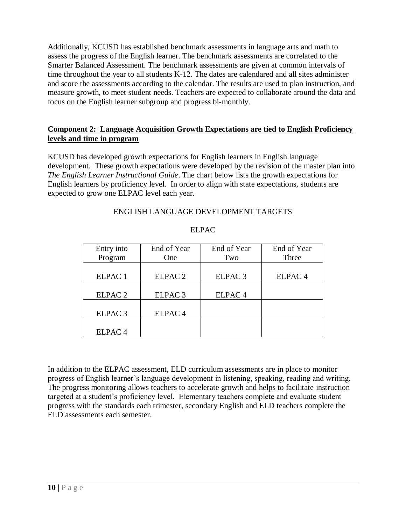Additionally, KCUSD has established benchmark assessments in language arts and math to assess the progress of the English learner. The benchmark assessments are correlated to the Smarter Balanced Assessment. The benchmark assessments are given at common intervals of time throughout the year to all students K-12. The dates are calendared and all sites administer and score the assessments according to the calendar. The results are used to plan instruction, and measure growth, to meet student needs. Teachers are expected to collaborate around the data and focus on the English learner subgroup and progress bi-monthly.

### **Component 2: Language Acquisition Growth Expectations are tied to English Proficiency levels and time in program**

KCUSD has developed growth expectations for English learners in English language development. These growth expectations were developed by the revision of the master plan into *The English Learner Instructional Guide*. The chart below lists the growth expectations for English learners by proficiency level. In order to align with state expectations, students are expected to grow one ELPAC level each year.

### ENGLISH LANGUAGE DEVELOPMENT TARGETS

| Entry into         | End of Year        | End of Year        | End of Year        |
|--------------------|--------------------|--------------------|--------------------|
| Program            | One                | Two                | Three              |
|                    |                    |                    |                    |
| ELPAC <sub>1</sub> | ELPAC <sub>2</sub> | ELPAC <sub>3</sub> | ELPAC <sub>4</sub> |
|                    |                    |                    |                    |
| ELPAC <sub>2</sub> | ELPAC <sub>3</sub> | ELPAC <sub>4</sub> |                    |
|                    |                    |                    |                    |
| ELPAC <sub>3</sub> | ELPAC <sub>4</sub> |                    |                    |
|                    |                    |                    |                    |
| ELPAC <sub>4</sub> |                    |                    |                    |

#### ELPAC

In addition to the ELPAC assessment, ELD curriculum assessments are in place to monitor progress of English learner's language development in listening, speaking, reading and writing. The progress monitoring allows teachers to accelerate growth and helps to facilitate instruction targeted at a student's proficiency level. Elementary teachers complete and evaluate student progress with the standards each trimester, secondary English and ELD teachers complete the ELD assessments each semester*.*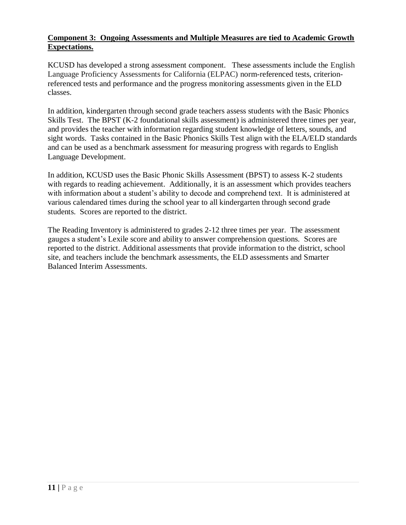### **Component 3: Ongoing Assessments and Multiple Measures are tied to Academic Growth Expectations.**

KCUSD has developed a strong assessment component. These assessments include the English Language Proficiency Assessments for California (ELPAC) norm-referenced tests, criterionreferenced tests and performance and the progress monitoring assessments given in the ELD classes.

In addition, kindergarten through second grade teachers assess students with the Basic Phonics Skills Test. The BPST (K-2 foundational skills assessment) is administered three times per year, and provides the teacher with information regarding student knowledge of letters, sounds, and sight words. Tasks contained in the Basic Phonics Skills Test align with the ELA/ELD standards and can be used as a benchmark assessment for measuring progress with regards to English Language Development.

In addition, KCUSD uses the Basic Phonic Skills Assessment (BPST) to assess K-2 students with regards to reading achievement. Additionally, it is an assessment which provides teachers with information about a student's ability to decode and comprehend text. It is administered at various calendared times during the school year to all kindergarten through second grade students. Scores are reported to the district.

The Reading Inventory is administered to grades 2-12 three times per year. The assessment gauges a student's Lexile score and ability to answer comprehension questions. Scores are reported to the district. Additional assessments that provide information to the district, school site, and teachers include the benchmark assessments, the ELD assessments and Smarter Balanced Interim Assessments.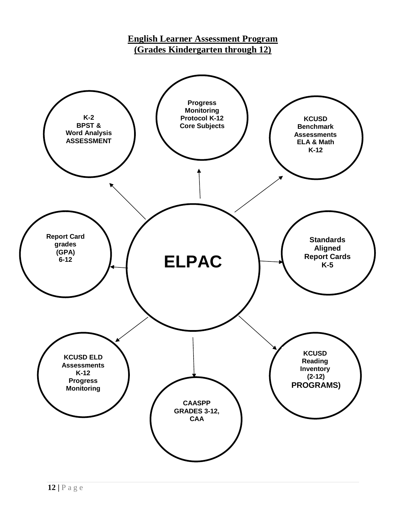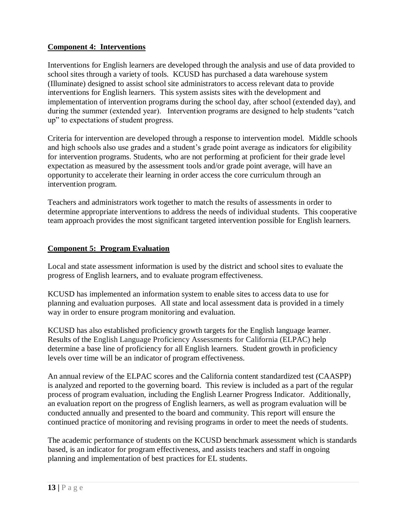## **Component 4: Interventions**

Interventions for English learners are developed through the analysis and use of data provided to school sites through a variety of tools. KCUSD has purchased a data warehouse system (Illuminate) designed to assist school site administrators to access relevant data to provide interventions for English learners. This system assists sites with the development and implementation of intervention programs during the school day, after school (extended day), and during the summer (extended year). Intervention programs are designed to help students "catch up" to expectations of student progress.

Criteria for intervention are developed through a response to intervention model. Middle schools and high schools also use grades and a student's grade point average as indicators for eligibility for intervention programs. Students, who are not performing at proficient for their grade level expectation as measured by the assessment tools and/or grade point average, will have an opportunity to accelerate their learning in order access the core curriculum through an intervention program.

Teachers and administrators work together to match the results of assessments in order to determine appropriate interventions to address the needs of individual students. This cooperative team approach provides the most significant targeted intervention possible for English learners.

### **Component 5: Program Evaluation**

Local and state assessment information is used by the district and school sites to evaluate the progress of English learners, and to evaluate program effectiveness.

KCUSD has implemented an information system to enable sites to access data to use for planning and evaluation purposes. All state and local assessment data is provided in a timely way in order to ensure program monitoring and evaluation.

KCUSD has also established proficiency growth targets for the English language learner. Results of the English Language Proficiency Assessments for California (ELPAC) help determine a base line of proficiency for all English learners. Student growth in proficiency levels over time will be an indicator of program effectiveness.

An annual review of the ELPAC scores and the California content standardized test (CAASPP) is analyzed and reported to the governing board. This review is included as a part of the regular process of program evaluation, including the English Learner Progress Indicator. Additionally, an evaluation report on the progress of English learners, as well as program evaluation will be conducted annually and presented to the board and community. This report will ensure the continued practice of monitoring and revising programs in order to meet the needs of students.

The academic performance of students on the KCUSD benchmark assessment which is standards based, is an indicator for program effectiveness, and assists teachers and staff in ongoing planning and implementation of best practices for EL students*.*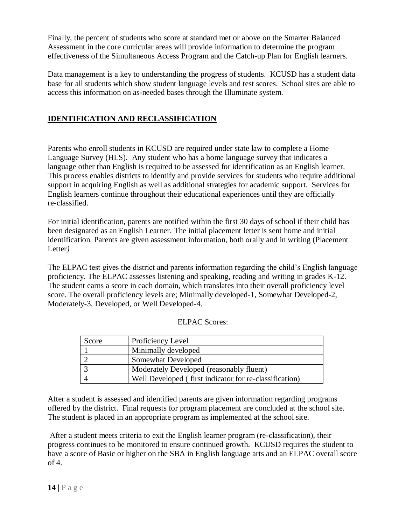Finally, the percent of students who score at standard met or above on the Smarter Balanced Assessment in the core curricular areas will provide information to determine the program effectiveness of the Simultaneous Access Program and the Catch-up Plan for English learners.

Data management is a key to understanding the progress of students. KCUSD has a student data base for all students which show student language levels and test scores. School sites are able to access this information on as-needed bases through the Illuminate system.

## **IDENTIFICATION AND RECLASSIFICATION**

Parents who enroll students in KCUSD are required under state law to complete a Home Language Survey (HLS). Any student who has a home language survey that indicates a language other than English is required to be assessed for identification as an English learner. This process enables districts to identify and provide services for students who require additional support in acquiring English as well as additional strategies for academic support. Services for English learners continue throughout their educational experiences until they are officially re-classified.

For initial identification, parents are notified within the first 30 days of school if their child has been designated as an English Learner. The initial placement letter is sent home and initial identification. Parents are given assessment information, both orally and in writing (Placement Letter*)* 

The ELPAC test gives the district and parents information regarding the child's English language proficiency. The ELPAC assesses listening and speaking, reading and writing in grades K-12. The student earns a score in each domain, which translates into their overall proficiency level score. The overall proficiency levels are; Minimally developed-1, Somewhat Developed-2, Moderately-3, Developed, or Well Developed-4.

| Score | Proficiency Level                                      |
|-------|--------------------------------------------------------|
|       | Minimally developed                                    |
|       | Somewhat Developed                                     |
|       | Moderately Developed (reasonably fluent)               |
|       | Well Developed (first indicator for re-classification) |

| <b>ELPAC Scores:</b> |  |
|----------------------|--|
|----------------------|--|

After a student is assessed and identified parents are given information regarding programs offered by the district. Final requests for program placement are concluded at the school site. The student is placed in an appropriate program as implemented at the school site.

After a student meets criteria to exit the English learner program (re-classification), their progress continues to be monitored to ensure continued growth. KCUSD requires the student to have a score of Basic or higher on the SBA in English language arts and an ELPAC overall score  $of 4.$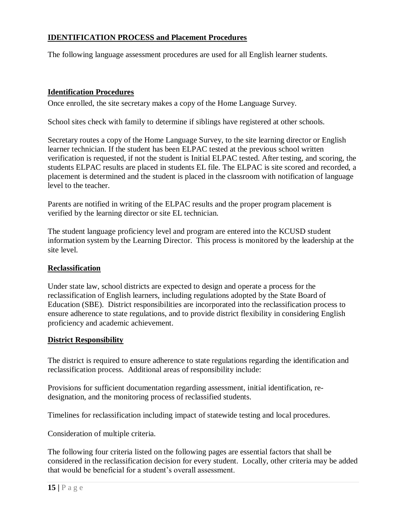### **IDENTIFICATION PROCESS and Placement Procedures**

The following language assessment procedures are used for all English learner students.

#### **Identification Procedures**

Once enrolled, the site secretary makes a copy of the Home Language Survey.

School sites check with family to determine if siblings have registered at other schools.

Secretary routes a copy of the Home Language Survey, to the site learning director or English learner technician. If the student has been ELPAC tested at the previous school written verification is requested, if not the student is Initial ELPAC tested. After testing, and scoring, the students ELPAC results are placed in students EL file. The ELPAC is site scored and recorded, a placement is determined and the student is placed in the classroom with notification of language level to the teacher.

Parents are notified in writing of the ELPAC results and the proper program placement is verified by the learning director or site EL technician.

The student language proficiency level and program are entered into the KCUSD student information system by the Learning Director. This process is monitored by the leadership at the site level.

#### **Reclassification**

Under state law, school districts are expected to design and operate a process for the reclassification of English learners, including regulations adopted by the State Board of Education (SBE). District responsibilities are incorporated into the reclassification process to ensure adherence to state regulations, and to provide district flexibility in considering English proficiency and academic achievement.

#### **District Responsibility**

The district is required to ensure adherence to state regulations regarding the identification and reclassification process. Additional areas of responsibility include:

Provisions for sufficient documentation regarding assessment, initial identification, redesignation, and the monitoring process of reclassified students.

Timelines for reclassification including impact of statewide testing and local procedures.

Consideration of multiple criteria.

The following four criteria listed on the following pages are essential factors that shall be considered in the reclassification decision for every student. Locally, other criteria may be added that would be beneficial for a student's overall assessment.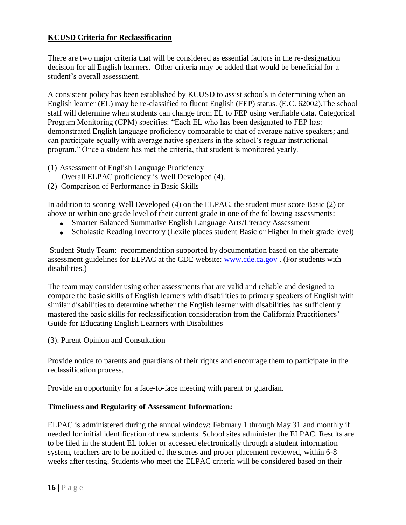## **KCUSD Criteria for Reclassification**

There are two major criteria that will be considered as essential factors in the re-designation decision for all English learners. Other criteria may be added that would be beneficial for a student's overall assessment.

A consistent policy has been established by KCUSD to assist schools in determining when an English learner (EL) may be re-classified to fluent English (FEP) status. (E.C. 62002).The school staff will determine when students can change from EL to FEP using verifiable data. Categorical Program Monitoring (CPM) specifies: "Each EL who has been designated to FEP has: demonstrated English language proficiency comparable to that of average native speakers; and can participate equally with average native speakers in the school's regular instructional program." Once a student has met the criteria, that student is monitored yearly.

- (1) Assessment of English Language Proficiency
- Overall ELPAC proficiency is Well Developed (4).
- (2) Comparison of Performance in Basic Skills

In addition to scoring Well Developed (4) on the ELPAC, the student must score Basic (2) or above or within one grade level of their current grade in one of the following assessments:

- Smarter Balanced Summative English Language Arts/Literacy Assessment
- Scholastic Reading Inventory (Lexile places student Basic or Higher in their grade level)

Student Study Team: recommendation supported by documentation based on the alternate assessment guidelines for ELPAC at the CDE website: [www.cde.ca.gov](http://www.cde.ca.gov/) . (For students with disabilities.)

The team may consider using other assessments that are valid and reliable and designed to compare the basic skills of English learners with disabilities to primary speakers of English with similar disabilities to determine whether the English learner with disabilities has sufficiently mastered the basic skills for reclassification consideration from the California Practitioners' Guide for Educating English Learners with Disabilities

(3). Parent Opinion and Consultation

Provide notice to parents and guardians of their rights and encourage them to participate in the reclassification process.

Provide an opportunity for a face-to-face meeting with parent or guardian.

### **Timeliness and Regularity of Assessment Information:**

ELPAC is administered during the annual window: February 1 through May 31 and monthly if needed for initial identification of new students. School sites administer the ELPAC. Results are to be filed in the student EL folder or accessed electronically through a student information system, teachers are to be notified of the scores and proper placement reviewed, within 6-8 weeks after testing. Students who meet the ELPAC criteria will be considered based on their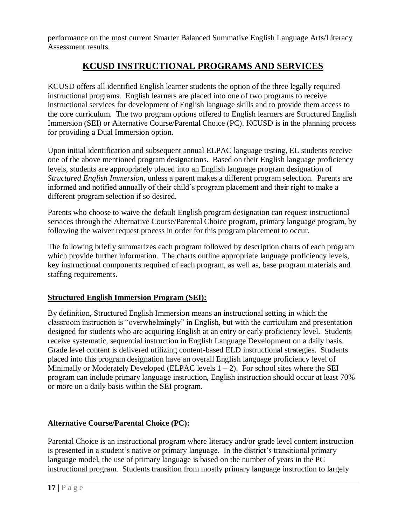performance on the most current Smarter Balanced Summative English Language Arts/Literacy Assessment results.

# **KCUSD INSTRUCTIONAL PROGRAMS AND SERVICES**

KCUSD offers all identified English learner students the option of the three legally required instructional programs. English learners are placed into one of two programs to receive instructional services for development of English language skills and to provide them access to the core curriculum. The two program options offered to English learners are Structured English Immersion (SEI) or Alternative Course/Parental Choice (PC). KCUSD is in the planning process for providing a Dual Immersion option.

Upon initial identification and subsequent annual ELPAC language testing, EL students receive one of the above mentioned program designations. Based on their English language proficiency levels, students are appropriately placed into an English language program designation of *Structured English Immersion*, unless a parent makes a different program selection. Parents are informed and notified annually of their child's program placement and their right to make a different program selection if so desired.

Parents who choose to waive the default English program designation can request instructional services through the Alternative Course/Parental Choice program, primary language program, by following the waiver request process in order for this program placement to occur.

The following briefly summarizes each program followed by description charts of each program which provide further information. The charts outline appropriate language proficiency levels, key instructional components required of each program, as well as, base program materials and staffing requirements.

## **Structured English Immersion Program (SEI):**

By definition, Structured English Immersion means an instructional setting in which the classroom instruction is "overwhelmingly" in English, but with the curriculum and presentation designed for students who are acquiring English at an entry or early proficiency level. Students receive systematic, sequential instruction in English Language Development on a daily basis. Grade level content is delivered utilizing content-based ELD instructional strategies. Students placed into this program designation have an overall English language proficiency level of Minimally or Moderately Developed (ELPAC levels  $1 - 2$ ). For school sites where the SEI program can include primary language instruction, English instruction should occur at least 70% or more on a daily basis within the SEI program.

## **Alternative Course/Parental Choice (PC):**

Parental Choice is an instructional program where literacy and/or grade level content instruction is presented in a student's native or primary language. In the district's transitional primary language model, the use of primary language is based on the number of years in the PC instructional program. Students transition from mostly primary language instruction to largely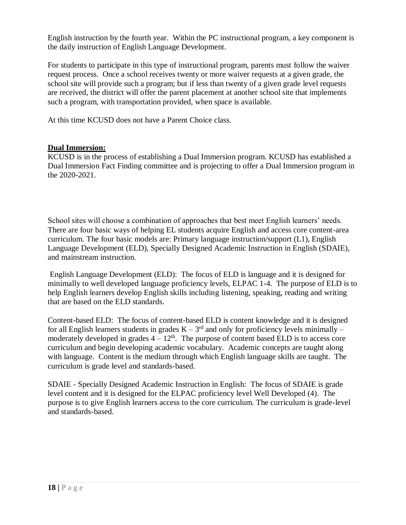English instruction by the fourth year. Within the PC instructional program, a key component is the daily instruction of English Language Development.

For students to participate in this type of instructional program, parents must follow the waiver request process. Once a school receives twenty or more waiver requests at a given grade, the school site will provide such a program; but if less than twenty of a given grade level requests are received, the district will offer the parent placement at another school site that implements such a program, with transportation provided, when space is available.

At this time KCUSD does not have a Parent Choice class.

### **Dual Immersion:**

KCUSD is in the process of establishing a Dual Immersion program. KCUSD has established a Dual Immersion Fact Finding committee and is projecting to offer a Dual Immersion program in the 2020-2021.

School sites will choose a combination of approaches that best meet English learners' needs. There are four basic ways of helping EL students acquire English and access core content-area curriculum. The four basic models are: Primary language instruction/support (L1), English Language Development (ELD), Specially Designed Academic Instruction in English (SDAIE), and mainstream instruction.

English Language Development (ELD): The focus of ELD is language and it is designed for minimally to well developed language proficiency levels, ELPAC 1-4. The purpose of ELD is to help English learners develop English skills including listening, speaking, reading and writing that are based on the ELD standards.

Content-based ELD: The focus of content-based ELD is content knowledge and it is designed for all English learners students in grades  $K - 3<sup>rd</sup>$  and only for proficiency levels minimally – moderately developed in grades  $4 - 12^{th}$ . The purpose of content based ELD is to access core curriculum and begin developing academic vocabulary. Academic concepts are taught along with language. Content is the medium through which English language skills are taught. The curriculum is grade level and standards-based.

SDAIE - Specially Designed Academic Instruction in English: The focus of SDAIE is grade level content and it is designed for the ELPAC proficiency level Well Developed (4). The purpose is to give English learners access to the core curriculum. The curriculum is grade-level and standards-based.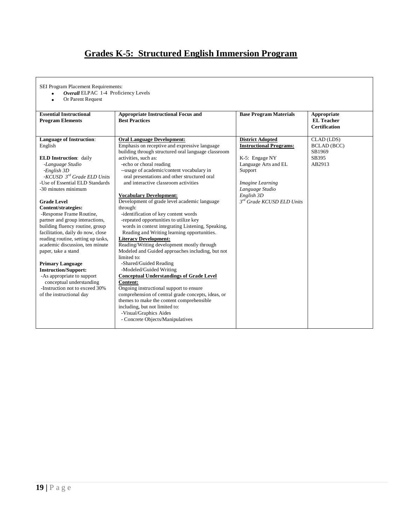# **Grades K-5: Structured English Immersion Program**

SEI Program Placement Requirements:

*Overall* ELPAC 1-4 Proficiency Levels

Or Parent Request

| <b>Essential Instructional</b>     | <b>Appropriate Instructional Focus and</b>          | <b>Base Program Materials</b>         | Appropriate          |
|------------------------------------|-----------------------------------------------------|---------------------------------------|----------------------|
| <b>Program Elements</b>            | <b>Best Practices</b>                               |                                       | <b>EL</b> Teacher    |
|                                    |                                                     |                                       | <b>Certification</b> |
|                                    |                                                     |                                       |                      |
| <b>Language of Instruction:</b>    | <b>Oral Language Development:</b>                   | <b>District Adopted</b>               | CLAD (LDS)           |
| English                            | Emphasis on receptive and expressive language       | <b>Instructional Programs:</b>        | <b>BCLAD</b> (BCC)   |
|                                    | building through structured oral language classroom |                                       | SB1969               |
| <b>ELD Instruction: daily</b>      | activities, such as:                                | K-5: Engage NY                        | SB395                |
| -Language Studio                   | -echo or choral reading                             | Language Arts and EL                  | AB2913               |
| $-English3D$                       | --usage of academic/content vocabulary in           | Support                               |                      |
| -KCUSD $3^{rd}$ Grade ELD Units    | oral presentations and other structured oral        |                                       |                      |
| -Use of Essential ELD Standards    | and interactive classroom activities                | Imagine Learning                      |                      |
| -30 minutes minimum                |                                                     | Language Studio                       |                      |
|                                    | <b>Vocabulary Development:</b>                      | English 3D                            |                      |
| <b>Grade Level</b>                 | Development of grade level academic language        | 3 <sup>rd</sup> Grade KCUSD ELD Units |                      |
| Content/strategies:                | through:                                            |                                       |                      |
| -Response Frame Routine,           | -identification of key content words                |                                       |                      |
| partner and group interactions,    | -repeated opportunities to utilize key              |                                       |                      |
| building fluency routine, group    | words in context integrating Listening, Speaking,   |                                       |                      |
| facilitation, daily do now, close  | Reading and Writing learning opportunities.         |                                       |                      |
| reading routine, setting up tasks, | <b>Literacy Development:</b>                        |                                       |                      |
| academic discussion, ten minute    | Reading/Writing development mostly through          |                                       |                      |
| paper, take a stand                | Modeled and Guided approaches including, but not    |                                       |                      |
|                                    | limited to:                                         |                                       |                      |
| <b>Primary Language</b>            | -Shared/Guided Reading                              |                                       |                      |
| <b>Instruction/Support:</b>        | -Modeled/Guided Writing                             |                                       |                      |
| -As appropriate to support         | <b>Conceptual Understandings of Grade Level</b>     |                                       |                      |
| conceptual understanding           | <b>Content:</b>                                     |                                       |                      |
| -Instruction not to exceed 30%     | Ongoing instructional support to ensure             |                                       |                      |
| of the instructional day           | comprehension of central grade concepts, ideas, or  |                                       |                      |
|                                    | themes to make the content comprehensible           |                                       |                      |
|                                    | including, but not limited to:                      |                                       |                      |
|                                    | -Visual/Graphics Aides                              |                                       |                      |
|                                    | - Concrete Objects/Manipulatives                    |                                       |                      |
|                                    |                                                     |                                       |                      |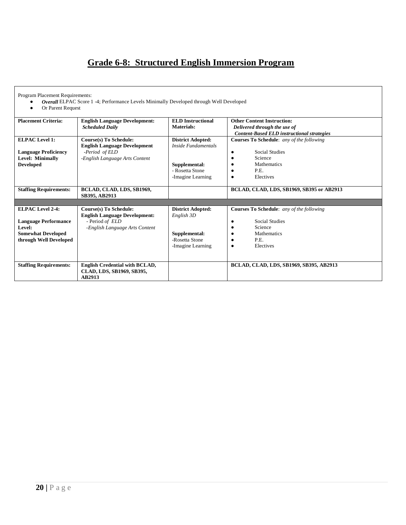# **Grade 6-8: Structured English Immersion Program**

Program Placement Requirements:

- *Overall* ELPAC Score 1 -4; Performance Levels Minimally Developed through Well Developed
- Or Parent Request

| <b>Placement Criteria:</b>                                                                   | <b>English Language Development:</b>                                                                                     | <b>ELD</b> Instructional                                                                                        | <b>Other Content Instruction:</b>                                                                                               |
|----------------------------------------------------------------------------------------------|--------------------------------------------------------------------------------------------------------------------------|-----------------------------------------------------------------------------------------------------------------|---------------------------------------------------------------------------------------------------------------------------------|
|                                                                                              | <b>Scheduled Daily</b>                                                                                                   | Materials:                                                                                                      | Delivered through the use of                                                                                                    |
|                                                                                              |                                                                                                                          |                                                                                                                 | <b>Content-Based ELD instructional strategies</b>                                                                               |
| <b>ELPAC Level 1:</b><br><b>Language Proficiency</b><br>Level: Minimally<br><b>Developed</b> | <b>Course(s)</b> To Schedule:<br><b>English Language Development</b><br>-Period of ELD<br>-English Language Arts Content | <b>District Adopted:</b><br><b>Inside Fundamentals</b><br>Supplemental:<br>- Rosetta Stone<br>-Imagine Learning | <b>Courses To Schedule:</b> any of the following<br><b>Social Studies</b><br>Science<br><b>Mathematics</b><br>P.E.<br>Electives |
| <b>Staffing Requirements:</b>                                                                | BCLAD, CLAD, LDS, SB1969,<br>SB395, AB2913                                                                               |                                                                                                                 | BCLAD, CLAD, LDS, SB1969, SB395 or AB2913                                                                                       |
|                                                                                              |                                                                                                                          |                                                                                                                 |                                                                                                                                 |
| <b>ELPAC Level 2-4:</b>                                                                      | <b>Course(s)</b> To Schedule:                                                                                            | <b>District Adopted:</b>                                                                                        | <b>Courses To Schedule:</b> any of the following                                                                                |
|                                                                                              | <b>English Language Development:</b>                                                                                     | English 3D                                                                                                      |                                                                                                                                 |
| <b>Language Performance</b>                                                                  | - Period of ELD                                                                                                          |                                                                                                                 | <b>Social Studies</b>                                                                                                           |
| Level:                                                                                       | -English Language Arts Content                                                                                           |                                                                                                                 | Science                                                                                                                         |
| <b>Somewhat Developed</b>                                                                    |                                                                                                                          | Supplemental:                                                                                                   | <b>Mathematics</b>                                                                                                              |
| through Well Developed                                                                       |                                                                                                                          | -Rosetta Stone                                                                                                  | P.E.                                                                                                                            |
|                                                                                              |                                                                                                                          | -Imagine Learning                                                                                               | Electives<br>٠                                                                                                                  |
|                                                                                              |                                                                                                                          |                                                                                                                 |                                                                                                                                 |
| <b>Staffing Requirements:</b>                                                                | <b>English Credential with BCLAD,</b>                                                                                    |                                                                                                                 | BCLAD, CLAD, LDS, SB1969, SB395, AB2913                                                                                         |
|                                                                                              | CLAD, LDS, SB1969, SB395,<br>AB2913                                                                                      |                                                                                                                 |                                                                                                                                 |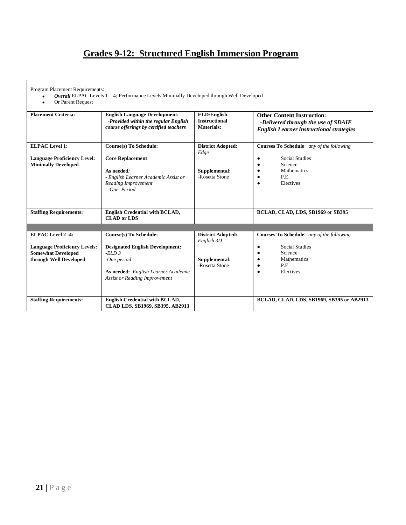# **Grades 9-12: Structured English Immersion Program**

Program Placement Requirements:

*Overall* ELPAC Levels 1 – 4; Performance Levels Minimally Developed through Well Developed

Or Parent Request

| <b>Placement Criteria:</b>                                                                                            | <b>English Language Development:</b><br>-Provided within the regular English<br>course offerings by certified teachers                                                    | <b>ELD/English</b><br><b>Instructional</b><br><b>Materials:</b>           | <b>Other Content Instruction:</b><br>-Delivered through the use of SDAIE<br><b>English Learner instructional strategies</b>                                      |
|-----------------------------------------------------------------------------------------------------------------------|---------------------------------------------------------------------------------------------------------------------------------------------------------------------------|---------------------------------------------------------------------------|------------------------------------------------------------------------------------------------------------------------------------------------------------------|
| <b>ELPAC Level 1:</b><br><b>Language Proficiency Level:</b><br><b>Minimally Developed</b>                             | <b>Course(s)</b> To Schedule:<br><b>Core Replacement</b><br>As needed:<br>- English Learner Academic Assist or<br>Reading Improvement<br>$-One\ Period$                   | <b>District Adopted:</b><br>Edge<br>Supplemental:<br>-Rosetta Stone       | <b>Courses To Schedule:</b> any of the following<br><b>Social Studies</b><br>$\bullet$<br>Science<br>Mathematics<br>$\bullet$<br>P.E.<br>Electives<br>$\bullet$  |
| <b>Staffing Requirements:</b>                                                                                         | <b>English Credential with BCLAD,</b><br><b>CLAD</b> or LDS                                                                                                               |                                                                           | BCLAD, CLAD, LDS, SB1969 or SB395                                                                                                                                |
|                                                                                                                       |                                                                                                                                                                           |                                                                           |                                                                                                                                                                  |
| <b>ELPAC Level 2-4:</b><br><b>Language Proficiency Levels:</b><br><b>Somewhat Developed</b><br>through Well Developed | Course(s) To Schedule:<br><b>Designated English Development:</b><br>$-ELD3$<br>-One period<br>As needed: English Learner Academic<br><b>Assist or Reading Improvement</b> | <b>District Adopted:</b><br>English 3D<br>Supplemental:<br>-Rosetta Stone | <b>Courses To Schedule:</b> any of the following<br><b>Social Studies</b><br>٠<br>Science<br>٠<br><b>Mathematics</b><br>$\bullet$<br>P.E.<br>٠<br>Electives<br>٠ |
| <b>Staffing Requirements:</b>                                                                                         | <b>English Credential with BCLAD,</b><br>CLAD LDS, SB1969, SB395, AB2913                                                                                                  |                                                                           | BCLAD, CLAD, LDS, SB1969, SB395 or AB2913                                                                                                                        |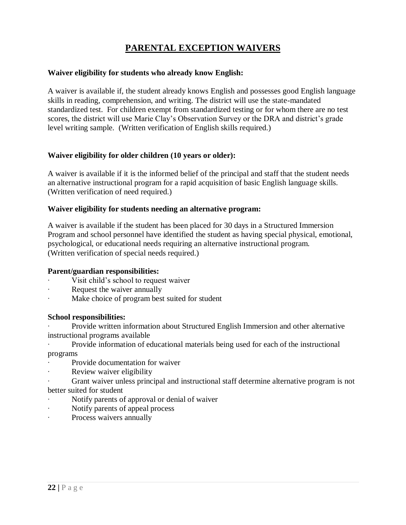# **PARENTAL EXCEPTION WAIVERS**

#### **Waiver eligibility for students who already know English:**

A waiver is available if, the student already knows English and possesses good English language skills in reading, comprehension, and writing. The district will use the state-mandated standardized test. For children exempt from standardized testing or for whom there are no test scores, the district will use Marie Clay's Observation Survey or the DRA and district's grade level writing sample. (Written verification of English skills required.)

#### **Waiver eligibility for older children (10 years or older):**

A waiver is available if it is the informed belief of the principal and staff that the student needs an alternative instructional program for a rapid acquisition of basic English language skills. (Written verification of need required.)

#### **Waiver eligibility for students needing an alternative program:**

A waiver is available if the student has been placed for 30 days in a Structured Immersion Program and school personnel have identified the student as having special physical, emotional, psychological, or educational needs requiring an alternative instructional program. (Written verification of special needs required.)

#### **Parent/guardian responsibilities:**

- ∙ Visit child's school to request waiver
- ∙ Request the waiver annually
- ∙ Make choice of program best suited for student

#### **School responsibilities:**

∙ Provide written information about Structured English Immersion and other alternative instructional programs available

- ∙ Provide information of educational materials being used for each of the instructional programs
- ∙ Provide documentation for waiver
- ∙ Review waiver eligibility
- ∙ Grant waiver unless principal and instructional staff determine alternative program is not better suited for student
- ∙ Notify parents of approval or denial of waiver
- ∙ Notify parents of appeal process
- ∙ Process waivers annually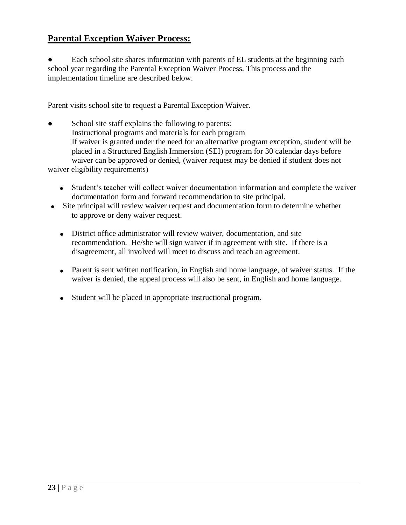## **Parental Exception Waiver Process:**

Each school site shares information with parents of EL students at the beginning each school year regarding the Parental Exception Waiver Process. This process and the implementation timeline are described below.

Parent visits school site to request a Parental Exception Waiver.

School site staff explains the following to parents: Instructional programs and materials for each program If waiver is granted under the need for an alternative program exception, student will be placed in a Structured English Immersion (SEI) program for 30 calendar days before waiver can be approved or denied, (waiver request may be denied if student does not waiver eligibility requirements)

- Student's teacher will collect waiver documentation information and complete the waiver documentation form and forward recommendation to site principal.
- Site principal will review waiver request and documentation form to determine whether to approve or deny waiver request.
	- District office administrator will review waiver, documentation, and site recommendation. He/she will sign waiver if in agreement with site. If there is a disagreement, all involved will meet to discuss and reach an agreement.
	- Parent is sent written notification, in English and home language, of waiver status. If the waiver is denied, the appeal process will also be sent, in English and home language.
	- Student will be placed in appropriate instructional program.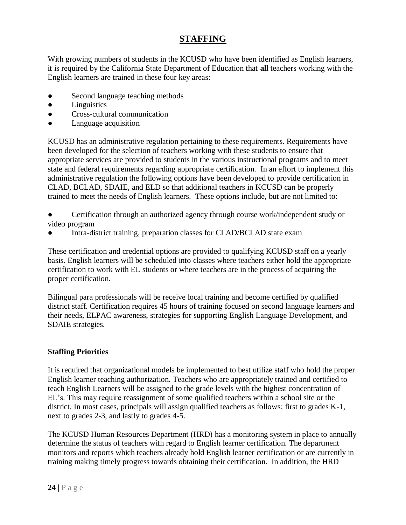# **STAFFING**

With growing numbers of students in the KCUSD who have been identified as English learners, it is required by the California State Department of Education that **all** teachers working with the English learners are trained in these four key areas:

- Second language teaching methods
- Linguistics
- Cross-cultural communication
- Language acquisition

KCUSD has an administrative regulation pertaining to these requirements. Requirements have been developed for the selection of teachers working with these students to ensure that appropriate services are provided to students in the various instructional programs and to meet state and federal requirements regarding appropriate certification. In an effort to implement this administrative regulation the following options have been developed to provide certification in CLAD, BCLAD, SDAIE, and ELD so that additional teachers in KCUSD can be properly trained to meet the needs of English learners. These options include, but are not limited to:

- Certification through an authorized agency through course work/independent study or video program
- Intra-district training, preparation classes for CLAD/BCLAD state exam

These certification and credential options are provided to qualifying KCUSD staff on a yearly basis. English learners will be scheduled into classes where teachers either hold the appropriate certification to work with EL students or where teachers are in the process of acquiring the proper certification.

Bilingual para professionals will be receive local training and become certified by qualified district staff. Certification requires 45 hours of training focused on second language learners and their needs, ELPAC awareness, strategies for supporting English Language Development, and SDAIE strategies.

## **Staffing Priorities**

It is required that organizational models be implemented to best utilize staff who hold the proper English learner teaching authorization. Teachers who are appropriately trained and certified to teach English Learners will be assigned to the grade levels with the highest concentration of EL's. This may require reassignment of some qualified teachers within a school site or the district. In most cases, principals will assign qualified teachers as follows; first to grades K-1, next to grades 2-3, and lastly to grades 4-5.

The KCUSD Human Resources Department (HRD) has a monitoring system in place to annually determine the status of teachers with regard to English learner certification. The department monitors and reports which teachers already hold English learner certification or are currently in training making timely progress towards obtaining their certification. In addition, the HRD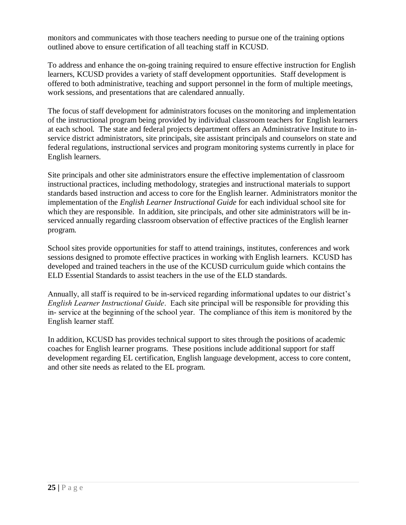monitors and communicates with those teachers needing to pursue one of the training options outlined above to ensure certification of all teaching staff in KCUSD.

To address and enhance the on-going training required to ensure effective instruction for English learners, KCUSD provides a variety of staff development opportunities. Staff development is offered to both administrative, teaching and support personnel in the form of multiple meetings, work sessions, and presentations that are calendared annually.

The focus of staff development for administrators focuses on the monitoring and implementation of the instructional program being provided by individual classroom teachers for English learners at each school. The state and federal projects department offers an Administrative Institute to inservice district administrators, site principals, site assistant principals and counselors on state and federal regulations, instructional services and program monitoring systems currently in place for English learners.

Site principals and other site administrators ensure the effective implementation of classroom instructional practices, including methodology, strategies and instructional materials to support standards based instruction and access to core for the English learner. Administrators monitor the implementation of the *English Learner Instructional Guide* for each individual school site for which they are responsible. In addition, site principals, and other site administrators will be inserviced annually regarding classroom observation of effective practices of the English learner program.

School sites provide opportunities for staff to attend trainings, institutes, conferences and work sessions designed to promote effective practices in working with English learners. KCUSD has developed and trained teachers in the use of the KCUSD curriculum guide which contains the ELD Essential Standards to assist teachers in the use of the ELD standards.

Annually, all staff is required to be in-serviced regarding informational updates to our district's *English Learner Instructional Guide*. Each site principal will be responsible for providing this in- service at the beginning of the school year. The compliance of this item is monitored by the English learner staff.

In addition, KCUSD has provides technical support to sites through the positions of academic coaches for English learner programs. These positions include additional support for staff development regarding EL certification, English language development, access to core content, and other site needs as related to the EL program.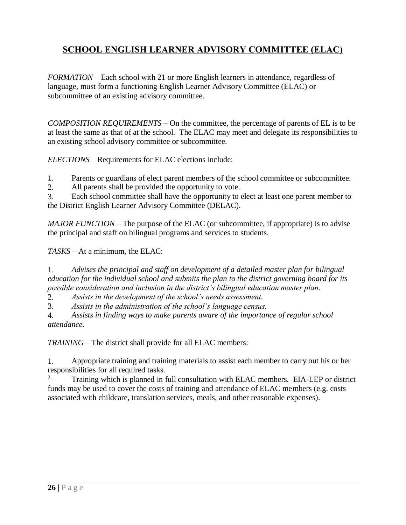# **SCHOOL ENGLISH LEARNER ADVISORY COMMITTEE (ELAC)**

*FORMATION* – Each school with 21 or more English learners in attendance, regardless of language, must form a functioning English Learner Advisory Committee (ELAC) or subcommittee of an existing advisory committee.

*COMPOSITION REQUIREMENTS* – On the committee, the percentage of parents of EL is to be at least the same as that of at the school. The ELAC may meet and delegate its responsibilities to an existing school advisory committee or subcommittee.

*ELECTIONS* – Requirements for ELAC elections include:

1. Parents or guardians of elect parent members of the school committee or subcommittee.

2. All parents shall be provided the opportunity to vote.

3. Each school committee shall have the opportunity to elect at least one parent member to the District English Learner Advisory Committee (DELAC).

*MAJOR FUNCTION* – The purpose of the ELAC (or subcommittee, if appropriate) is to advise the principal and staff on bilingual programs and services to students.

*TASKS* – At a minimum, the ELAC:

1. *Advises the principal and staff on development of a detailed master plan for bilingual education for the individual school and submits the plan to the district governing board for its possible consideration and inclusion in the district's bilingual education master plan*.

2. *Assists in the development of the school's needs assessment.*

3. *Assists in the administration of the school's language census.*

4. *Assists in finding ways to make parents aware of the importance of regular school attendance.*

*TRAINING* – The district shall provide for all ELAC members:

1. Appropriate training and training materials to assist each member to carry out his or her responsibilities for all required tasks.

Training which is planned in full consultation with ELAC members. EIA-LEP or district funds may be used to cover the costs of training and attendance of ELAC members (e.g. costs associated with childcare, translation services, meals, and other reasonable expenses).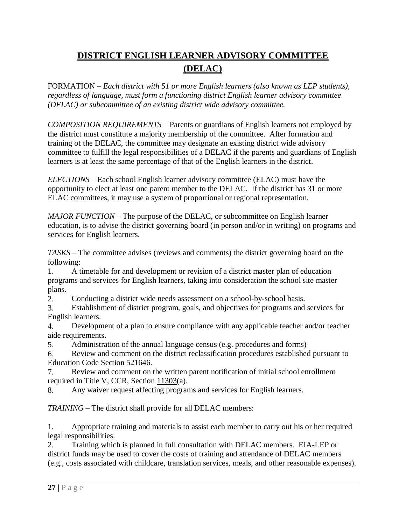# **DISTRICT ENGLISH LEARNER ADVISORY COMMITTEE (DELAC)**

FORMATION *– Each district with 51 or more English learners (also known as LEP students), regardless of language, must form a functioning district English learner advisory committee (DELAC) or subcommittee of an existing district wide advisory committee.*

*COMPOSITION REQUIREMENTS* – Parents or guardians of English learners not employed by the district must constitute a majority membership of the committee. After formation and training of the DELAC, the committee may designate an existing district wide advisory committee to fulfill the legal responsibilities of a DELAC if the parents and guardians of English learners is at least the same percentage of that of the English learners in the district.

*ELECTIONS* – Each school English learner advisory committee (ELAC) must have the opportunity to elect at least one parent member to the DELAC. If the district has 31 or more ELAC committees, it may use a system of proportional or regional representation.

*MAJOR FUNCTION* – The purpose of the DELAC, or subcommittee on English learner education, is to advise the district governing board (in person and/or in writing) on programs and services for English learners.

*TASKS* – The committee advises (reviews and comments) the district governing board on the following:

1. A timetable for and development or revision of a district master plan of education programs and services for English learners, taking into consideration the school site master plans.

2. Conducting a district wide needs assessment on a school-by-school basis.

3. Establishment of district program, goals, and objectives for programs and services for English learners.

4. Development of a plan to ensure compliance with any applicable teacher and/or teacher aide requirements.

5. Administration of the annual language census (e.g. procedures and forms)

6. Review and comment on the district reclassification procedures established pursuant to Education Code Section 521646.

7. Review and comment on the written parent notification of initial school enrollment required in Title V, CCR, Section 11303(a).

8. Any waiver request affecting programs and services for English learners.

*TRAINING* – The district shall provide for all DELAC members:

1. Appropriate training and materials to assist each member to carry out his or her required legal responsibilities.

2. Training which is planned in full consultation with DELAC members. EIA-LEP or district funds may be used to cover the costs of training and attendance of DELAC members (e.g., costs associated with childcare, translation services, meals, and other reasonable expenses).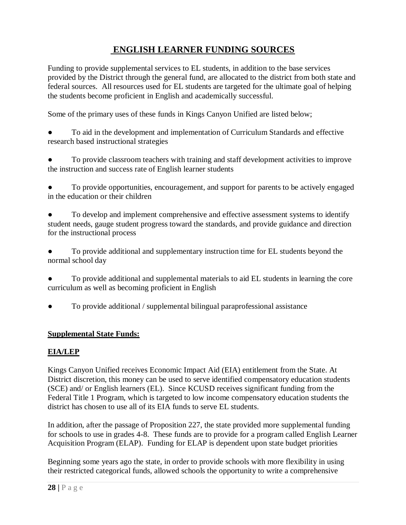# **ENGLISH LEARNER FUNDING SOURCES**

Funding to provide supplemental services to EL students, in addition to the base services provided by the District through the general fund, are allocated to the district from both state and federal sources. All resources used for EL students are targeted for the ultimate goal of helping the students become proficient in English and academically successful.

Some of the primary uses of these funds in Kings Canyon Unified are listed below;

To aid in the development and implementation of Curriculum Standards and effective research based instructional strategies

To provide classroom teachers with training and staff development activities to improve the instruction and success rate of English learner students

To provide opportunities, encouragement, and support for parents to be actively engaged in the education or their children

To develop and implement comprehensive and effective assessment systems to identify student needs, gauge student progress toward the standards, and provide guidance and direction for the instructional process

To provide additional and supplementary instruction time for EL students beyond the normal school day

To provide additional and supplemental materials to aid EL students in learning the core curriculum as well as becoming proficient in English

To provide additional / supplemental bilingual paraprofessional assistance

### **Supplemental State Funds:**

## **EIA/LEP**

Kings Canyon Unified receives Economic Impact Aid (EIA) entitlement from the State. At District discretion, this money can be used to serve identified compensatory education students (SCE) and/ or English learners (EL). Since KCUSD receives significant funding from the Federal Title 1 Program, which is targeted to low income compensatory education students the district has chosen to use all of its EIA funds to serve EL students.

In addition, after the passage of Proposition 227, the state provided more supplemental funding for schools to use in grades 4-8. These funds are to provide for a program called English Learner Acquisition Program (ELAP). Funding for ELAP is dependent upon state budget priorities

Beginning some years ago the state, in order to provide schools with more flexibility in using their restricted categorical funds, allowed schools the opportunity to write a comprehensive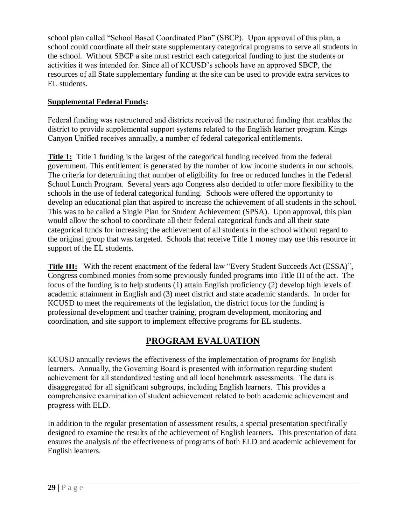school plan called "School Based Coordinated Plan" (SBCP). Upon approval of this plan, a school could coordinate all their state supplementary categorical programs to serve all students in the school. Without SBCP a site must restrict each categorical funding to just the students or activities it was intended for. Since all of KCUSD's schools have an approved SBCP, the resources of all State supplementary funding at the site can be used to provide extra services to EL students.

## **Supplemental Federal Funds:**

Federal funding was restructured and districts received the restructured funding that enables the district to provide supplemental support systems related to the English learner program. Kings Canyon Unified receives annually, a number of federal categorical entitlements.

**Title 1:** Title 1 funding is the largest of the categorical funding received from the federal government. This entitlement is generated by the number of low income students in our schools. The criteria for determining that number of eligibility for free or reduced lunches in the Federal School Lunch Program. Several years ago Congress also decided to offer more flexibility to the schools in the use of federal categorical funding. Schools were offered the opportunity to develop an educational plan that aspired to increase the achievement of all students in the school. This was to be called a Single Plan for Student Achievement (SPSA). Upon approval, this plan would allow the school to coordinate all their federal categorical funds and all their state categorical funds for increasing the achievement of all students in the school without regard to the original group that was targeted. Schools that receive Title 1 money may use this resource in support of the EL students.

**Title III:** With the recent enactment of the federal law "Every Student Succeeds Act (ESSA)", Congress combined monies from some previously funded programs into Title III of the act. The focus of the funding is to help students (1) attain English proficiency (2) develop high levels of academic attainment in English and (3) meet district and state academic standards. In order for KCUSD to meet the requirements of the legislation, the district focus for the funding is professional development and teacher training, program development, monitoring and coordination, and site support to implement effective programs for EL students.

# **PROGRAM EVALUATION**

KCUSD annually reviews the effectiveness of the implementation of programs for English learners. Annually, the Governing Board is presented with information regarding student achievement for all standardized testing and all local benchmark assessments. The data is disaggregated for all significant subgroups, including English learners. This provides a comprehensive examination of student achievement related to both academic achievement and progress with ELD.

In addition to the regular presentation of assessment results, a special presentation specifically designed to examine the results of the achievement of English learners. This presentation of data ensures the analysis of the effectiveness of programs of both ELD and academic achievement for English learners.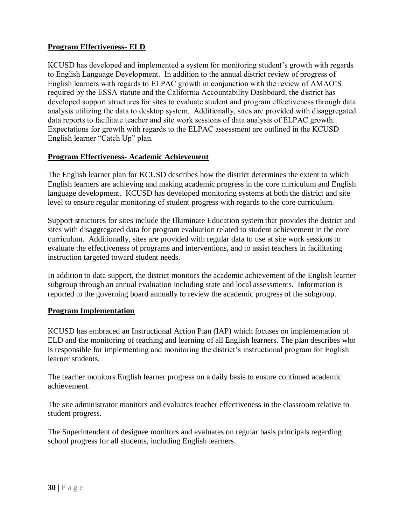## **Program Effectiveness- ELD**

KCUSD has developed and implemented a system for monitoring student's growth with regards to English Language Development. In addition to the annual district review of progress of English learners with regards to ELPAC growth in conjunction with the review of AMAO'S required by the ESSA statute and the California Accountability Dashboard, the district has developed support structures for sites to evaluate student and program effectiveness through data analysis utilizing the data to desktop system. Additionally, sites are provided with disaggregated data reports to facilitate teacher and site work sessions of data analysis of ELPAC growth. Expectations for growth with regards to the ELPAC assessment are outlined in the KCUSD English learner "Catch Up" plan.

#### **Program Effectiveness- Academic Achievement**

The English learner plan for KCUSD describes how the district determines the extent to which English learners are achieving and making academic progress in the core curriculum and English language development. KCUSD has developed monitoring systems at both the district and site level to ensure regular monitoring of student progress with regards to the core curriculum.

Support structures for sites include the Illuminate Education system that provides the district and sites with disaggregated data for program evaluation related to student achievement in the core curriculum. Additionally, sites are provided with regular data to use at site work sessions to evaluate the effectiveness of programs and interventions, and to assist teachers in facilitating instruction targeted toward student needs.

In addition to data support, the district monitors the academic achievement of the English learner subgroup through an annual evaluation including state and local assessments. Information is reported to the governing board annually to review the academic progress of the subgroup.

### **Program Implementation**

KCUSD has embraced an Instructional Action Plan (IAP) which focuses on implementation of ELD and the monitoring of teaching and learning of all English learners. The plan describes who is responsible for implementing and monitoring the district's instructional program for English learner students.

The teacher monitors English learner progress on a daily basis to ensure continued academic achievement.

The site administrator monitors and evaluates teacher effectiveness in the classroom relative to student progress.

The Superintendent of designee monitors and evaluates on regular basis principals regarding school progress for all students, including English learners.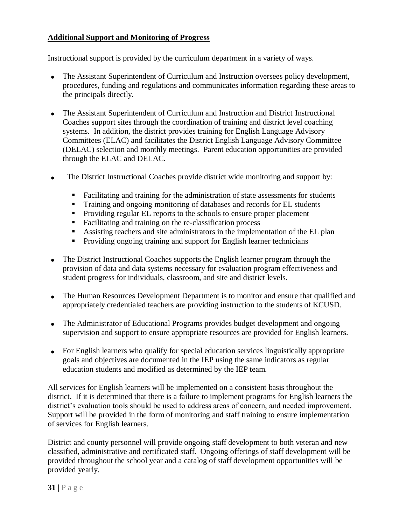## **Additional Support and Monitoring of Progress**

Instructional support is provided by the curriculum department in a variety of ways.

- The Assistant Superintendent of Curriculum and Instruction oversees policy development, procedures, funding and regulations and communicates information regarding these areas to the principals directly.
- The Assistant Superintendent of Curriculum and Instruction and District Instructional Coaches support sites through the coordination of training and district level coaching systems. In addition, the district provides training for English Language Advisory Committees (ELAC) and facilitates the District English Language Advisory Committee (DELAC) selection and monthly meetings. Parent education opportunities are provided through the ELAC and DELAC.
- The District Instructional Coaches provide district wide monitoring and support by:
	- Facilitating and training for the administration of state assessments for students
	- Training and ongoing monitoring of databases and records for EL students
	- **Providing regular EL reports to the schools to ensure proper placement**
	- Facilitating and training on the re-classification process
	- Assisting teachers and site administrators in the implementation of the EL plan
	- **Providing ongoing training and support for English learner technicians**
- The District Instructional Coaches supports the English learner program through the provision of data and data systems necessary for evaluation program effectiveness and student progress for individuals, classroom, and site and district levels.
- The Human Resources Development Department is to monitor and ensure that qualified and appropriately credentialed teachers are providing instruction to the students of KCUSD.
- The Administrator of Educational Programs provides budget development and ongoing supervision and support to ensure appropriate resources are provided for English learners.
- For English learners who qualify for special education services linguistically appropriate goals and objectives are documented in the IEP using the same indicators as regular education students and modified as determined by the IEP team.

All services for English learners will be implemented on a consistent basis throughout the district. If it is determined that there is a failure to implement programs for English learners the district's evaluation tools should be used to address areas of concern, and needed improvement. Support will be provided in the form of monitoring and staff training to ensure implementation of services for English learners.

District and county personnel will provide ongoing staff development to both veteran and new classified, administrative and certificated staff. Ongoing offerings of staff development will be provided throughout the school year and a catalog of staff development opportunities will be provided yearly.